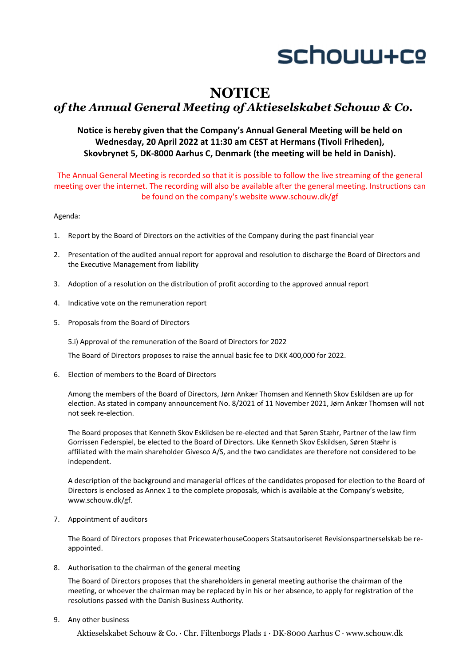

# **NOTICE**

## *of the Annual General Meeting of Aktieselskabet Schouw & Co.*

### **Notice is hereby given that the Company's Annual General Meeting will be held on Wednesday, 20 April 2022 at 11:30 am CEST at Hermans (Tivoli Friheden), Skovbrynet 5, DK‐8000 Aarhus C, Denmark (the meeting will be held in Danish).**

The Annual General Meeting is recorded so that it is possible to follow the live streaming of the general meeting over the internet. The recording will also be available after the general meeting. Instructions can be found on the company's website www.schouw.dk/gf

Agenda:

- 1. Report by the Board of Directors on the activities of the Company during the past financial year
- 2. Presentation of the audited annual report for approval and resolution to discharge the Board of Directors and the Executive Management from liability
- 3. Adoption of a resolution on the distribution of profit according to the approved annual report
- 4. Indicative vote on the remuneration report
- 5. Proposals from the Board of Directors

5.i) Approval of the remuneration of the Board of Directors for 2022

The Board of Directors proposes to raise the annual basic fee to DKK 400,000 for 2022.

6. Election of members to the Board of Directors

Among the members of the Board of Directors, Jørn Ankær Thomsen and Kenneth Skov Eskildsen are up for election. As stated in company announcement No. 8/2021 of 11 November 2021, Jørn Ankær Thomsen will not not seek re‐election.

The Board proposes that Kenneth Skov Eskildsen be re‐elected and that Søren Stæhr, Partner of the law firm Gorrissen Federspiel, be elected to the Board of Directors. Like Kenneth Skov Eskildsen, Søren Stæhr is affiliated with the main shareholder Givesco A/S, and the two candidates are therefore not considered to be independent.

A description of the background and managerial offices of the candidates proposed for election to the Board of Directors is enclosed as Annex 1 to the complete proposals, which is available at the Company's website, www.schouw.dk/gf.

7. Appointment of auditors

The Board of Directors proposes that PricewaterhouseCoopers Statsautoriseret Revisionspartnerselskab be re‐ appointed.

8. Authorisation to the chairman of the general meeting

The Board of Directors proposes that the shareholders in general meeting authorise the chairman of the meeting, or whoever the chairman may be replaced by in his or her absence, to apply for registration of the resolutions passed with the Danish Business Authority.

9. Any other business

Aktieselskabet Schouw & Co. ∙ Chr. Filtenborgs Plads 1 ∙ DK-8000 Aarhus C ∙ www.schouw.dk